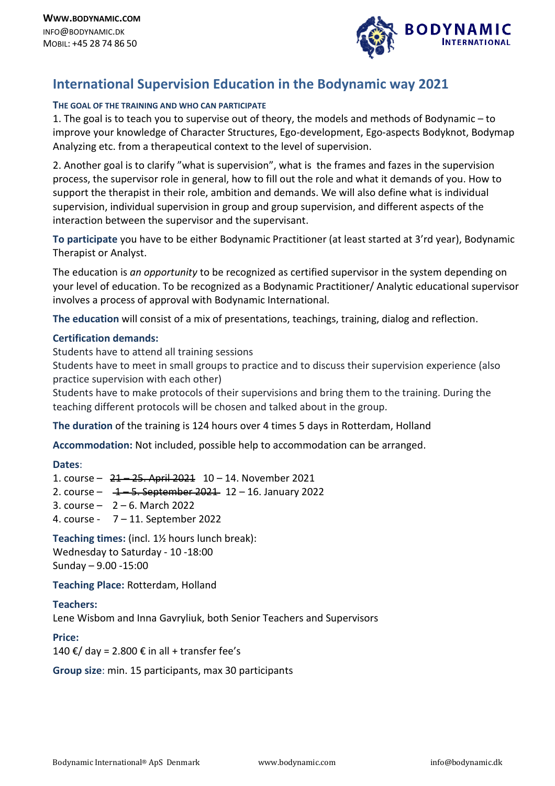

# **International Supervision Education in the Bodynamic way 2021**

## **THE GOAL OF THE TRAINING AND WHO CAN PARTICIPATE**

1. The goal is to teach you to supervise out of theory, the models and methods of Bodynamic – to improve your knowledge of Character Structures, Ego-development, Ego-aspects Bodyknot, Bodymap Analyzing etc. from a therapeutical context to the level of supervision.

2. Another goal is to clarify "what is supervision", what is the frames and fazes in the supervision process, the supervisor role in general, how to fill out the role and what it demands of you. How to support the therapist in their role, ambition and demands. We will also define what is individual supervision, individual supervision in group and group supervision, and different aspects of the interaction between the supervisor and the supervisant.

**To participate** you have to be either Bodynamic Practitioner (at least started at 3'rd year), Bodynamic Therapist or Analyst.

The education is *an opportunity* to be recognized as certified supervisor in the system depending on your level of education. To be recognized as a Bodynamic Practitioner/ Analytic educational supervisor involves a process of approval with Bodynamic International.

**The education** will consist of a mix of presentations, teachings, training, dialog and reflection.

## **Certification demands:**

Students have to attend all training sessions

Students have to meet in small groups to practice and to discuss their supervision experience (also practice supervision with each other)

Students have to make protocols of their supervisions and bring them to the training. During the teaching different protocols will be chosen and talked about in the group.

**The duration** of the training is 124 hours over 4 times 5 days in Rotterdam, Holland

**Accommodation:** Not included, possible help to accommodation can be arranged.

#### **Dates**:

1. course – 21 – 25. April 2021 10 – 14. November 2021

- 2. course 1 5. September 2021 12 16. January 2022
- 3. course 2 6. March 2022
- 4. course 7 11. September 2022

**Teaching times:** (incl. 1½ hours lunch break): Wednesday to Saturday - 10 -18:00 Sunday – 9.00 -15:00

**Teaching Place:** Rotterdam, Holland

## **Teachers:**

Lene Wisbom and Inna Gavryliuk, both Senior Teachers and Supervisors

#### **Price:**

140 €/ day = 2.800 € in all + transfer fee's

**Group size**: min. 15 participants, max 30 participants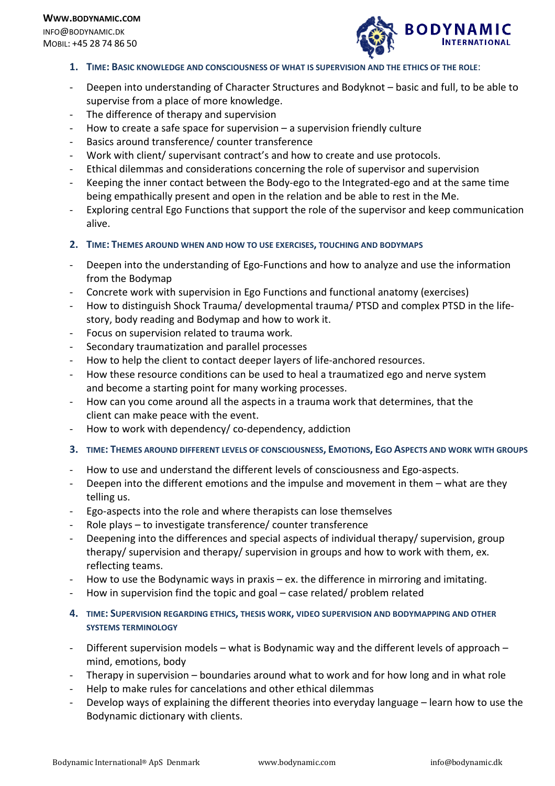**WWW.BODYNAMIC.COM** INFO@BODYNAMIC.DK MOBIL: +45 28 74 86 50



- **1. TIME: BASIC KNOWLEDGE AND CONSCIOUSNESS OF WHAT IS SUPERVISION AND THE ETHICS OF THE ROLE**:
- Deepen into understanding of Character Structures and Bodyknot basic and full, to be able to supervise from a place of more knowledge.
- The difference of therapy and supervision
- How to create a safe space for supervision  $-$  a supervision friendly culture
- Basics around transference/ counter transference
- Work with client/ supervisant contract's and how to create and use protocols.
- Ethical dilemmas and considerations concerning the role of supervisor and supervision
- Keeping the inner contact between the Body-ego to the Integrated-ego and at the same time being empathically present and open in the relation and be able to rest in the Me.
- Exploring central Ego Functions that support the role of the supervisor and keep communication alive.
- **2. TIME: THEMES AROUND WHEN AND HOW TO USE EXERCISES, TOUCHING AND BODYMAPS**
- Deepen into the understanding of Ego-Functions and how to analyze and use the information from the Bodymap
- Concrete work with supervision in Ego Functions and functional anatomy (exercises)
- How to distinguish Shock Trauma/ developmental trauma/ PTSD and complex PTSD in the lifestory, body reading and Bodymap and how to work it.
- Focus on supervision related to trauma work.
- Secondary traumatization and parallel processes
- How to help the client to contact deeper layers of life-anchored resources.
- How these resource conditions can be used to heal a traumatized ego and nerve system and become a starting point for many working processes.
- How can you come around all the aspects in a trauma work that determines, that the client can make peace with the event.
- How to work with dependency/ co-dependency, addiction
- **3. TIME: THEMES AROUND DIFFERENT LEVELS OF CONSCIOUSNESS, EMOTIONS, EGO ASPECTS AND WORK WITH GROUPS**
- How to use and understand the different levels of consciousness and Ego-aspects.
- Deepen into the different emotions and the impulse and movement in them what are they telling us.
- Ego-aspects into the role and where therapists can lose themselves
- Role plays to investigate transference/ counter transference
- Deepening into the differences and special aspects of individual therapy/ supervision, group therapy/ supervision and therapy/ supervision in groups and how to work with them, ex. reflecting teams.
- How to use the Bodynamic ways in praxis ex. the difference in mirroring and imitating.
- How in supervision find the topic and goal case related/ problem related
- **4. TIME: SUPERVISION REGARDING ETHICS, THESIS WORK, VIDEO SUPERVISION AND BODYMAPPING AND OTHER SYSTEMS TERMINOLOGY**
- Different supervision models what is Bodynamic way and the different levels of approach mind, emotions, body
- Therapy in supervision boundaries around what to work and for how long and in what role
- Help to make rules for cancelations and other ethical dilemmas
- Develop ways of explaining the different theories into everyday language learn how to use the Bodynamic dictionary with clients.